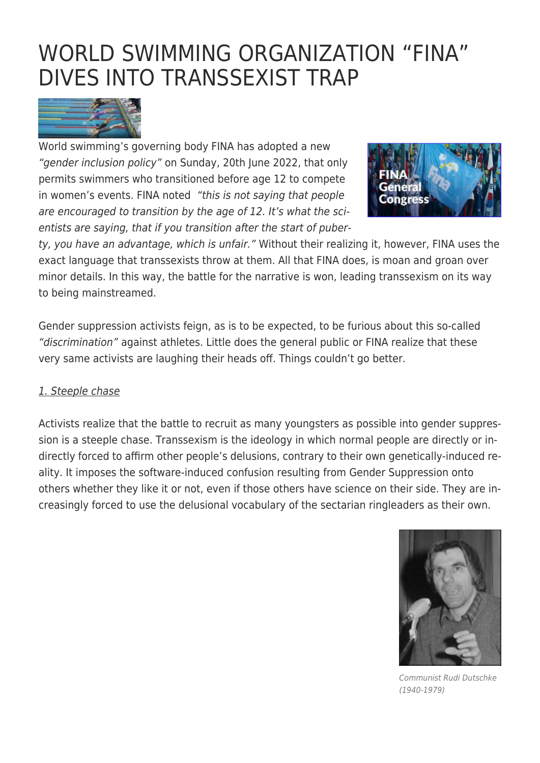# [WORLD SWIMMING ORGANIZATION "FINA"](https://exgaycalling.com/2022/06/21/world-swimming-organization-fina-falls-into-transsexist-trap/) [DIVES INTO TRANSSEXIST TRAP](https://exgaycalling.com/2022/06/21/world-swimming-organization-fina-falls-into-transsexist-trap/)



World swimming's governing body FINA has adopted a new "gender inclusion policy" on Sunday, 20th June 2022, that only permits swimmers who transitioned before age 12 to compete in women's events. FINA noted "this is not saying that people are encouraged to transition by the age of 12. It's what the scientists are saying, that if you transition after the start of puber-



ty, you have an advantage, which is unfair." Without their realizing it, however, FINA uses the exact language that transsexists throw at them. All that FINA does, is moan and groan over minor details. In this way, the battle for the narrative is won, leading transsexism on its way to being mainstreamed.

Gender suppression activists feign, as is to be expected, to be furious about this so-called "discrimination" against athletes. Little does the general public or FINA realize that these very same activists are laughing their heads off. Things couldn't go better.

#### 1. Steeple chase

Activists realize that the battle to recruit as many youngsters as possible into gender suppression is a steeple chase. Transsexism is the ideology in which normal people are directly or indirectly forced to affirm other people's delusions, contrary to their own genetically-induced reality. It imposes the software-induced confusion resulting from Gender Suppression onto others whether they like it or not, even if those others have science on their side. They are increasingly forced to use the delusional vocabulary of the sectarian ringleaders as their own.



Communist Rudi Dutschke (1940-1979)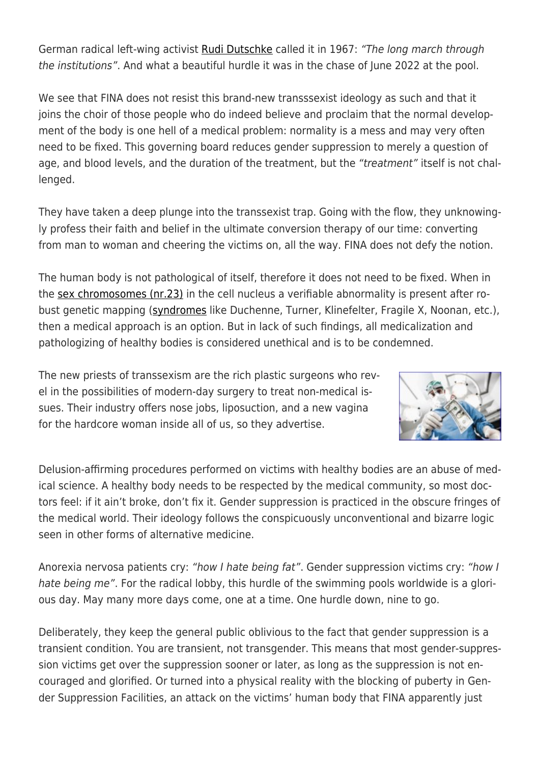German radical left-wing activist [Rudi Dutschke](https://en.wikipedia.org/wiki/Rudi_Dutschke) called it in 1967: "The long march through the institutions". And what a beautiful hurdle it was in the chase of June 2022 at the pool.

We see that FINA does not resist this brand-new transssexist ideology as such and that it joins the choir of those people who do indeed believe and proclaim that the normal development of the body is one hell of a medical problem: normality is a mess and may very often need to be fixed. This governing board reduces gender suppression to merely a question of age, and blood levels, and the duration of the treatment, but the "treatment" itself is not challenged.

They have taken a deep plunge into the transsexist trap. Going with the flow, they unknowingly profess their faith and belief in the ultimate conversion therapy of our time: converting from man to woman and cheering the victims on, all the way. FINA does not defy the notion.

The human body is not pathological of itself, therefore it does not need to be fixed. When in the [sex chromosomes \(nr.23\)](https://scopeheal.com/chromosome-23/) in the cell nucleus a verifiable abnormality is present after robust genetic mapping [\(syndromes](https://www.merckmanuals.com/home/children-s-health-issues/chromosome-and-gene-abnormalities/overview-of-chromosome-and-gene-disorders) like Duchenne, Turner, Klinefelter, Fragile X, Noonan, etc.), then a medical approach is an option. But in lack of such findings, all medicalization and pathologizing of healthy bodies is considered unethical and is to be condemned.

The new priests of transsexism are the rich plastic surgeons who revel in the possibilities of modern-day surgery to treat non-medical issues. Their industry offers nose jobs, liposuction, and a new vagina for the hardcore woman inside all of us, so they advertise.



Delusion-affirming procedures performed on victims with healthy bodies are an abuse of medical science. A healthy body needs to be respected by the medical community, so most doctors feel: if it ain't broke, don't fix it. Gender suppression is practiced in the obscure fringes of the medical world. Their ideology follows the conspicuously unconventional and bizarre logic seen in other forms of alternative medicine.

Anorexia nervosa patients cry: "how I hate being fat". Gender suppression victims cry: "how I hate being me". For the radical lobby, this hurdle of the swimming pools worldwide is a glorious day. May many more days come, one at a time. One hurdle down, nine to go.

Deliberately, they keep the general public oblivious to the fact that gender suppression is a transient condition. You are transient, not transgender. This means that most gender-suppression victims get over the suppression sooner or later, as long as the suppression is not encouraged and glorified. Or turned into a physical reality with the blocking of puberty in Gender Suppression Facilities, an attack on the victims' human body that FINA apparently just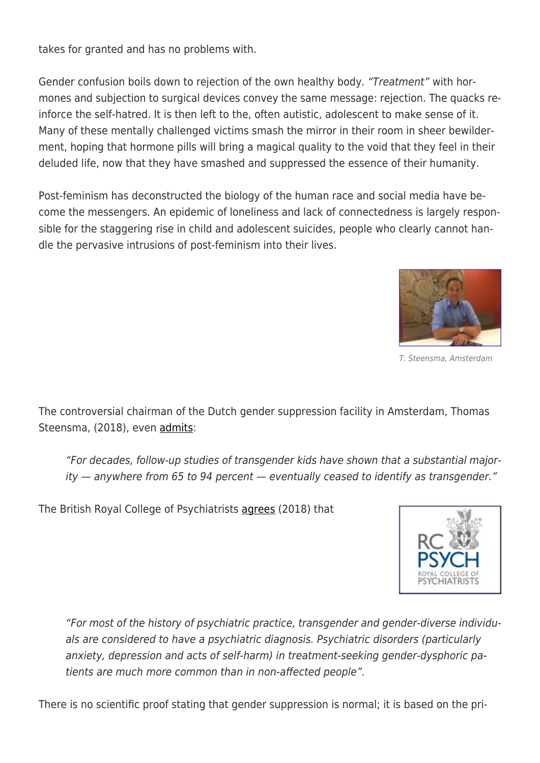takes for granted and has no problems with.

Gender confusion boils down to rejection of the own healthy body. "Treatment" with hormones and subjection to surgical devices convey the same message: rejection. The quacks reinforce the self-hatred. It is then left to the, often autistic, adolescent to make sense of it. Many of these mentally challenged victims smash the mirror in their room in sheer bewilderment, hoping that hormone pills will bring a magical quality to the void that they feel in their deluded life, now that they have smashed and suppressed the essence of their humanity.

Post-feminism has deconstructed the biology of the human race and social media have become the messengers. An epidemic of loneliness and lack of connectedness is largely responsible for the staggering rise in child and adolescent suicides, people who clearly cannot handle the pervasive intrusions of post-feminism into their lives.



T. Steensma, Amsterdam

The controversial chairman of the Dutch gender suppression facility in Amsterdam, Thomas Steensma, (2018), even [admits:](https://www.kqed.org/futureofyou/441784/the-controversial-research-on-desistance-in-transgender-youth)

"For decades, follow-up studies of transgender kids have shown that a substantial majority — anywhere from 65 to 94 percent — eventually ceased to identify as transgender."

The British Royal College of Psychiatrists [agrees](https://www.rcpsych.ac.uk/pdf/PS02_18.pdf) (2018) that



"For most of the history of psychiatric practice, transgender and gender-diverse individuals are considered to have a psychiatric diagnosis. Psychiatric disorders (particularly anxiety, depression and acts of self-harm) in treatment-seeking gender-dysphoric patients are much more common than in non-affected people".

There is no scientific proof stating that gender suppression is normal; it is based on the pri-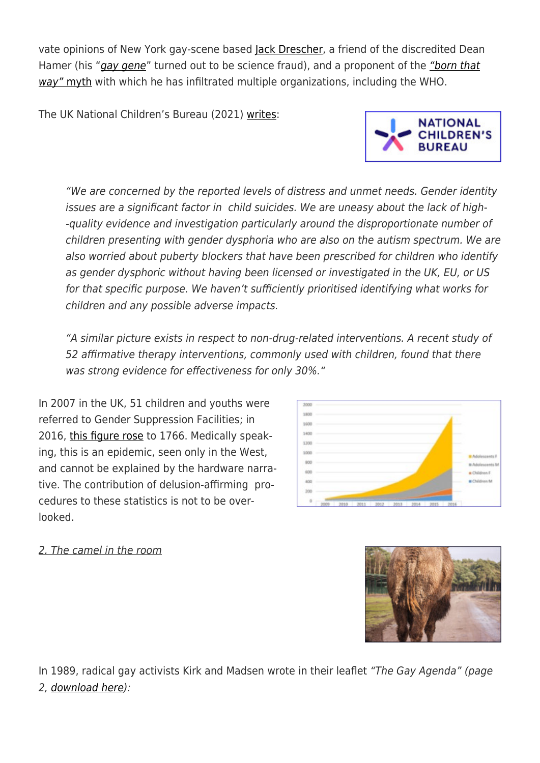vate opinions of New York gay-scene based <u>lack Drescher</u>, a friend of the discredited Dean Hamer (his "[gay gene](https://exgaycalling.com/2022/01/01/exploring-your-full-sexual-potential-part-38-the-ancient-myths-of-changelings/)" turned out to be science fraud), and a proponent of the ["born that](https://exgaycalling.com/2016/10/08/apa-finally-agrees-people-are-not-born-that-way/) [way"](https://exgaycalling.com/2016/10/08/apa-finally-agrees-people-are-not-born-that-way/) [myth](https://exgaycalling.com/2016/10/08/apa-finally-agrees-people-are-not-born-that-way/) with which he has infiltrated multiple organizations, including the WHO.

The UK National Children's Bureau (2021) [writes:](https://www.ncb.org.uk/sites/default/files/uploads/attachments/Gender%20Dysphoria%20Paper%20-%20Final6.pdf)

"We are concerned by the reported levels of distress and unmet needs. Gender identity issues are a significant factor in child suicides. We are uneasy about the lack of high- -quality evidence and investigation particularly around the disproportionate number of children presenting with gender dysphoria who are also on the autism spectrum. We are also worried about puberty blockers that have been prescribed for children who identify as gender dysphoric without having been licensed or investigated in the UK, EU, or US for that specific purpose. We haven't sufficiently prioritised identifying what works for children and any possible adverse impacts.

"A similar picture exists in respect to non-drug-related interventions. A recent study of 52 affirmative therapy interventions, commonly used with children, found that there was strong evidence for effectiveness for only 30%."

 $\frac{1}{200}$ 

In 2007 in the UK, 51 children and youths were referred to Gender Suppression Facilities; in 2016, [this figure rose](https://www.ncb.org.uk/sites/default/files/uploads/attachments/Gender%20Dysphoria%20Paper%20-%20Final6.pdf) to 1766. Medically speaking, this is an epidemic, seen only in the West, and cannot be explained by the hardware narrative. The contribution of delusion-affirming procedures to these statistics is not to be overlooked.

#### 2. The camel in the room

In 1989, radical gay activists Kirk and Madsen wrote in their leaflet "The Gay Agenda" (page 2, [download here](https://www.jesus-is-savior.com/Evils%20in%20America/Sodomy/homosexual_agenda_exposed.pdf)):







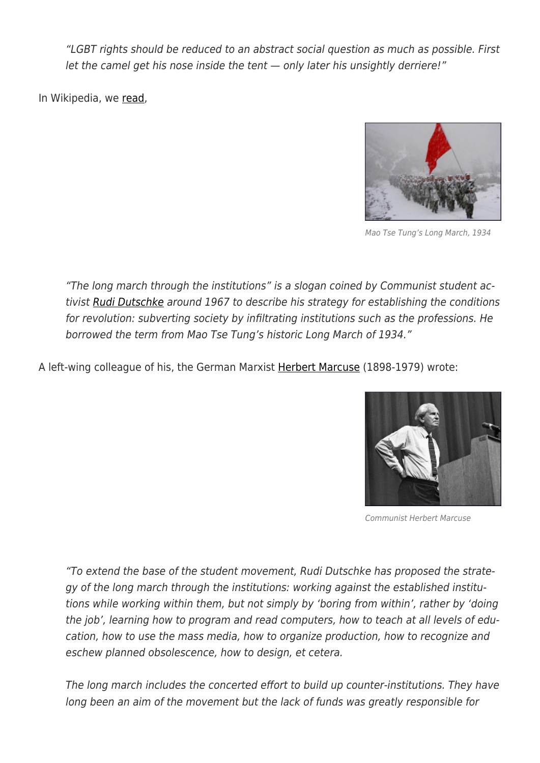"LGBT rights should be reduced to an abstract social question as much as possible. First let the camel get his nose inside the tent — only later his unsightly derriere!"

In Wikipedia, we [read](https://en.wikipedia.org/wiki/Long_march_through_the_institutions),



Mao Tse Tung's Long March, 1934

"The long march through the institutions" is a slogan coined by Communist student ac-tivist [Rudi Dutschke](https://en.wikipedia.org/wiki/Rudi_Dutschke) around 1967 to describe his strategy for establishing the conditions for revolution: subverting society by infiltrating institutions such as the professions. He borrowed the term from Mao Tse Tung's historic Long March of 1934."

A left-wing colleague of his, the German Marxist [Herbert Marcuse](https://en.wikipedia.org/wiki/Herbert_Marcuse) (1898-1979) wrote:



Communist Herbert Marcuse

"To extend the base of the student movement, Rudi Dutschke has proposed the strategy of the long march through the institutions: working against the established institutions while working within them, but not simply by 'boring from within', rather by 'doing the job', learning how to program and read computers, how to teach at all levels of education, how to use the mass media, how to organize production, how to recognize and eschew planned obsolescence, how to design, et cetera.

The long march includes the concerted effort to build up counter-institutions. They have long been an aim of the movement but the lack of funds was greatly responsible for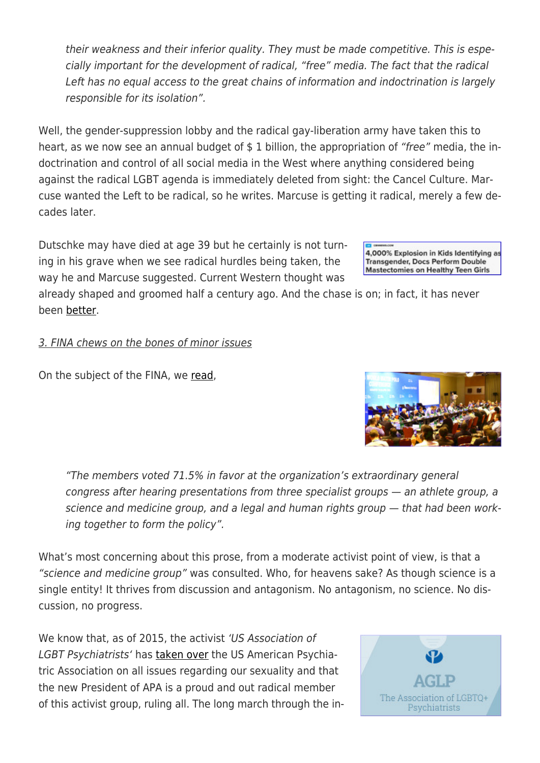their weakness and their inferior quality. They must be made competitive. This is especially important for the development of radical, "free" media. The fact that the radical Left has no equal access to the great chains of information and indoctrination is largely responsible for its isolation".

Well, the gender-suppression lobby and the radical gay-liberation army have taken this to heart, as we now see an annual budget of \$1 billion, the appropriation of "free" media, the indoctrination and control of all social media in the West where anything considered being against the radical LGBT agenda is immediately deleted from sight: the Cancel Culture. Marcuse wanted the Left to be radical, so he writes. Marcuse is getting it radical, merely a few decades later.

Dutschke may have died at age 39 but he certainly is not turning in his grave when we see radical hurdles being taken, the way he and Marcuse suggested. Current Western thought was

already shaped and groomed half a century ago. And the chase is on; in fact, it has never been [better](https://www1.cbn.com/cbnnews/us/2018/september/4-000-explosion-in-kids-identifying-as-transgender-docs-perform-double-mastectomies-on-healthy-teen-girls).

# 3. FINA chews on the bones of minor issues

On the subject of the FINA, we [read](https://www.pbs.org/newshour/world/world-swimmings-governing-body-adopts-new-rules-for-transgender-athletes),

"The members voted 71.5% in favor at the organization's extraordinary general congress after hearing presentations from three specialist groups — an athlete group, a science and medicine group, and a legal and human rights group — that had been working together to form the policy".

What's most concerning about this prose, from a moderate activist point of view, is that a "science and medicine group" was consulted. Who, for heavens sake? As though science is a single entity! It thrives from discussion and antagonism. No antagonism, no science. No discussion, no progress.

We know that, as of 2015, the activist 'US Association of LGBT Psychiatrists' has [taken over](http://www.aglp.org/) the US American Psychiatric Association on all issues regarding our sexuality and that the new President of APA is a proud and out radical member of this activist group, ruling all. The long march through the in-







4,000% Explosion in Kids Identifying as **Transgender, Docs Perform Double Mastectomies on Healthy Teen Girls**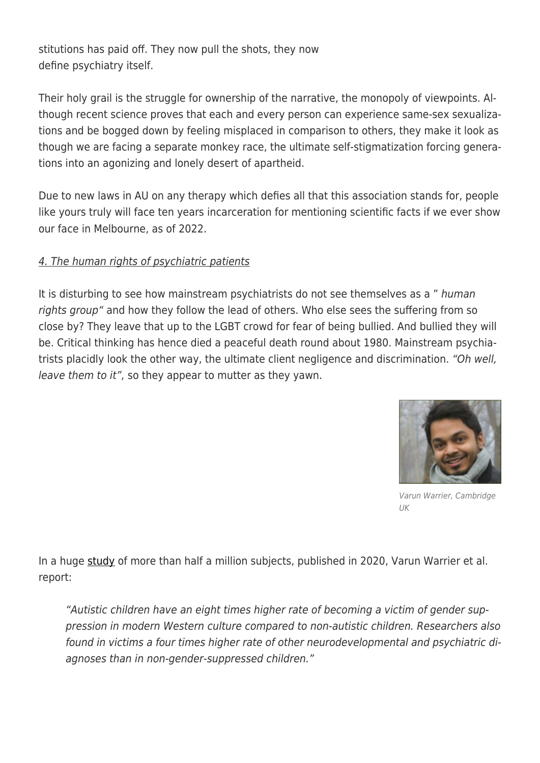stitutions has paid off. They now pull the shots, they now define psychiatry itself.

Their holy grail is the struggle for ownership of the narrative, the monopoly of viewpoints. Although recent science proves that each and every person can experience same-sex sexualizations and be bogged down by feeling misplaced in comparison to others, they make it look as though we are facing a separate monkey race, the ultimate self-stigmatization forcing generations into an agonizing and lonely desert of apartheid.

Due to new laws in AU on any therapy which defies all that this association stands for, people like yours truly will face ten years incarceration for mentioning scientific facts if we ever show our face in Melbourne, as of 2022.

### 4. The human rights of psychiatric patients

It is disturbing to see how mainstream psychiatrists do not see themselves as a " human rights group" and how they follow the lead of others. Who else sees the suffering from so close by? They leave that up to the LGBT crowd for fear of being bullied. And bullied they will be. Critical thinking has hence died a peaceful death round about 1980. Mainstream psychiatrists placidly look the other way, the ultimate client negligence and discrimination. "Oh well, leave them to it", so they appear to mutter as they yawn.



Varun Warrier, Cambridge UK

In a huge [study](https://www.nature.com/articles/s41467-020-17794-1) of more than half a million subjects, published in 2020, Varun Warrier et al. report:

"Autistic children have an eight times higher rate of becoming a victim of gender suppression in modern Western culture compared to non-autistic children. Researchers also found in victims a four times higher rate of other neurodevelopmental and psychiatric diagnoses than in non-gender-suppressed children."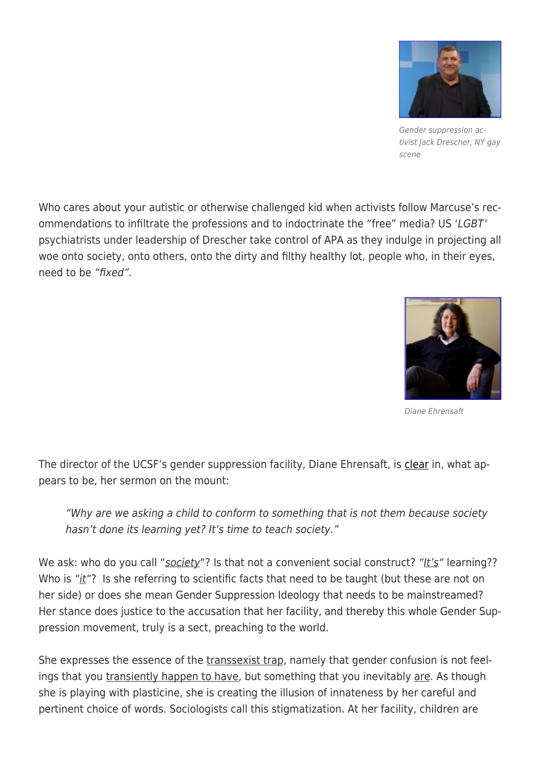

Gender suppression activist Jack Drescher, NY gay scene

Who cares about your autistic or otherwise challenged kid when activists follow Marcuse's recommendations to infiltrate the professions and to indoctrinate the "free" media? US 'LGBT' psychiatrists under leadership of Drescher take control of APA as they indulge in projecting all woe onto society, onto others, onto the dirty and filthy healthy lot, people who, in their eyes, need to be "fixed".



Diane Ehrensaft

The director of the UCSF's gender suppression facility, Diane Ehrensaft, is [clear](https://www.kqed.org/futureofyou/441784/the-controversial-research-on-desistance-in-transgender-youth) in, what appears to be, her sermon on the mount:

"Why are we asking a child to conform to something that is not them because society hasn't done its learning yet? It's time to teach society."

We ask: who do you call "society"? Is that not a convenient social construct? "It's" learning?? Who is " $it$ "? Is she referring to scientific facts that need to be taught (but these are not on her side) or does she mean Gender Suppression Ideology that needs to be mainstreamed? Her stance does justice to the accusation that her facility, and thereby this whole Gender Suppression movement, truly is a sect, preaching to the world.

She expresses the essence of the transsexist trap, namely that gender confusion is not feelings that you transiently happen to have, but something that you inevitably are. As though she is playing with plasticine, she is creating the illusion of innateness by her careful and pertinent choice of words. Sociologists call this stigmatization. At her facility, children are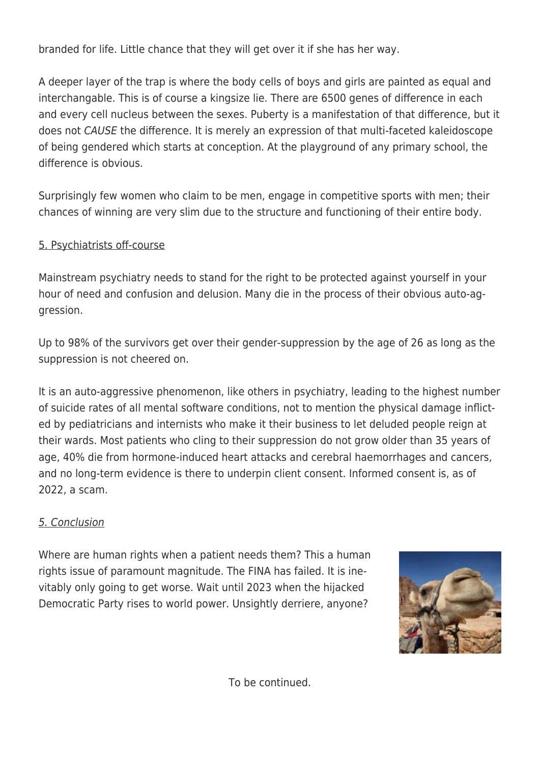branded for life. Little chance that they will get over it if she has her way.

A deeper layer of the trap is where the body cells of boys and girls are painted as equal and interchangable. This is of course a kingsize lie. There are 6500 genes of difference in each and every cell nucleus between the sexes. Puberty is a manifestation of that difference, but it does not CAUSE the difference. It is merely an expression of that multi-faceted kaleidoscope of being gendered which starts at conception. At the playground of any primary school, the difference is obvious.

Surprisingly few women who claim to be men, engage in competitive sports with men; their chances of winning are very slim due to the structure and functioning of their entire body.

### 5. Psychiatrists off-course

Mainstream psychiatry needs to stand for the right to be protected against yourself in your hour of need and confusion and delusion. Many die in the process of their obvious auto-aggression.

Up to 98% of the survivors get over their gender-suppression by the age of 26 as long as the suppression is not cheered on.

It is an auto-aggressive phenomenon, like others in psychiatry, leading to the highest number of suicide rates of all mental software conditions, not to mention the physical damage inflicted by pediatricians and internists who make it their business to let deluded people reign at their wards. Most patients who cling to their suppression do not grow older than 35 years of age, 40% die from hormone-induced heart attacks and cerebral haemorrhages and cancers, and no long-term evidence is there to underpin client consent. Informed consent is, as of 2022, a scam.

# 5. Conclusion

Where are human rights when a patient needs them? This a human rights issue of paramount magnitude. The FINA has failed. It is inevitably only going to get worse. Wait until 2023 when the hijacked Democratic Party rises to world power. Unsightly derriere, anyone?



To be continued.